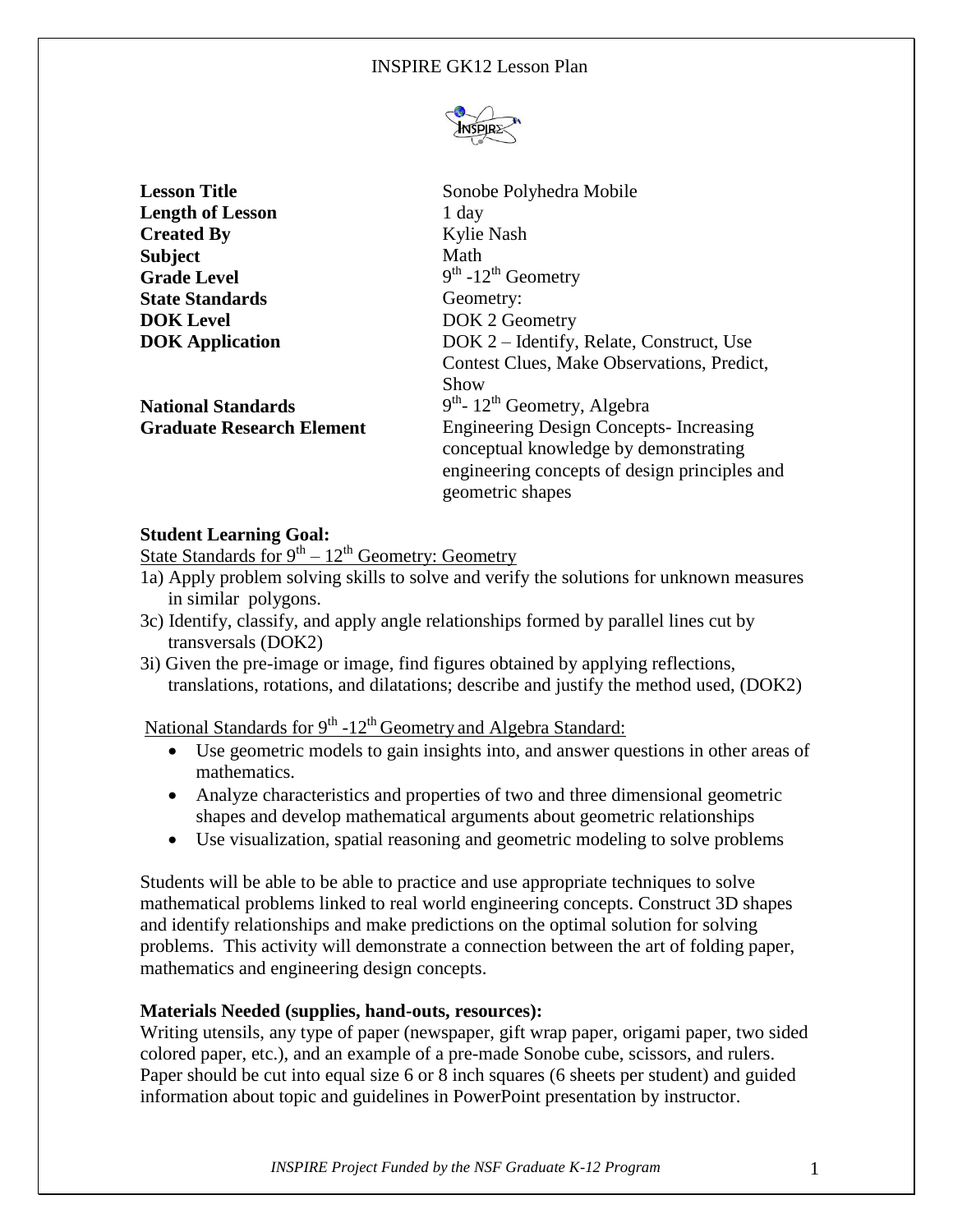

| <b>Lesson Title</b>              | Sonobe Polyhedra Mobile                       |
|----------------------------------|-----------------------------------------------|
| <b>Length of Lesson</b>          | 1 day                                         |
| <b>Created By</b>                | Kylie Nash                                    |
| <b>Subject</b>                   | Math                                          |
| <b>Grade Level</b>               | $9th - 12th$ Geometry                         |
| <b>State Standards</b>           | Geometry:                                     |
| <b>DOK</b> Level                 | DOK 2 Geometry                                |
| <b>DOK</b> Application           | DOK 2 – Identify, Relate, Construct, Use      |
|                                  | Contest Clues, Make Observations, Predict,    |
|                                  | Show                                          |
| <b>National Standards</b>        | $9th$ - 12 <sup>th</sup> Geometry, Algebra    |
| <b>Graduate Research Element</b> | <b>Engineering Design Concepts-Increasing</b> |
|                                  | conceptual knowledge by demonstrating         |
|                                  | engineering concepts of design principles and |
|                                  | geometric shapes                              |

# **Student Learning Goal:**

State Standards for  $9^{th} - 12^{th}$  Geometry: Geometry

- 1a) Apply problem solving skills to solve and verify the solutions for unknown measures in similar polygons.
- 3c) Identify, classify, and apply angle relationships formed by parallel lines cut by transversals (DOK2)
- 3i) Given the pre-image or image, find figures obtained by applying reflections, translations, rotations, and dilatations; describe and justify the method used, (DOK2)

National Standards for 9<sup>th</sup> -12<sup>th</sup> Geometry and Algebra Standard:

- Use geometric models to gain insights into, and answer questions in other areas of mathematics.
- Analyze characteristics and properties of two and three dimensional geometric shapes and develop mathematical arguments about geometric relationships
- Use visualization, spatial reasoning and geometric modeling to solve problems

Students will be able to be able to practice and use appropriate techniques to solve mathematical problems linked to real world engineering concepts. Construct 3D shapes and identify relationships and make predictions on the optimal solution for solving problems. This activity will demonstrate a connection between the art of folding paper, mathematics and engineering design concepts.

## **Materials Needed (supplies, hand-outs, resources):**

Writing utensils, any type of paper (newspaper, gift wrap paper, origami paper, two sided colored paper, etc.), and an example of a pre-made Sonobe cube, scissors, and rulers. Paper should be cut into equal size 6 or 8 inch squares (6 sheets per student) and guided information about topic and guidelines in PowerPoint presentation by instructor.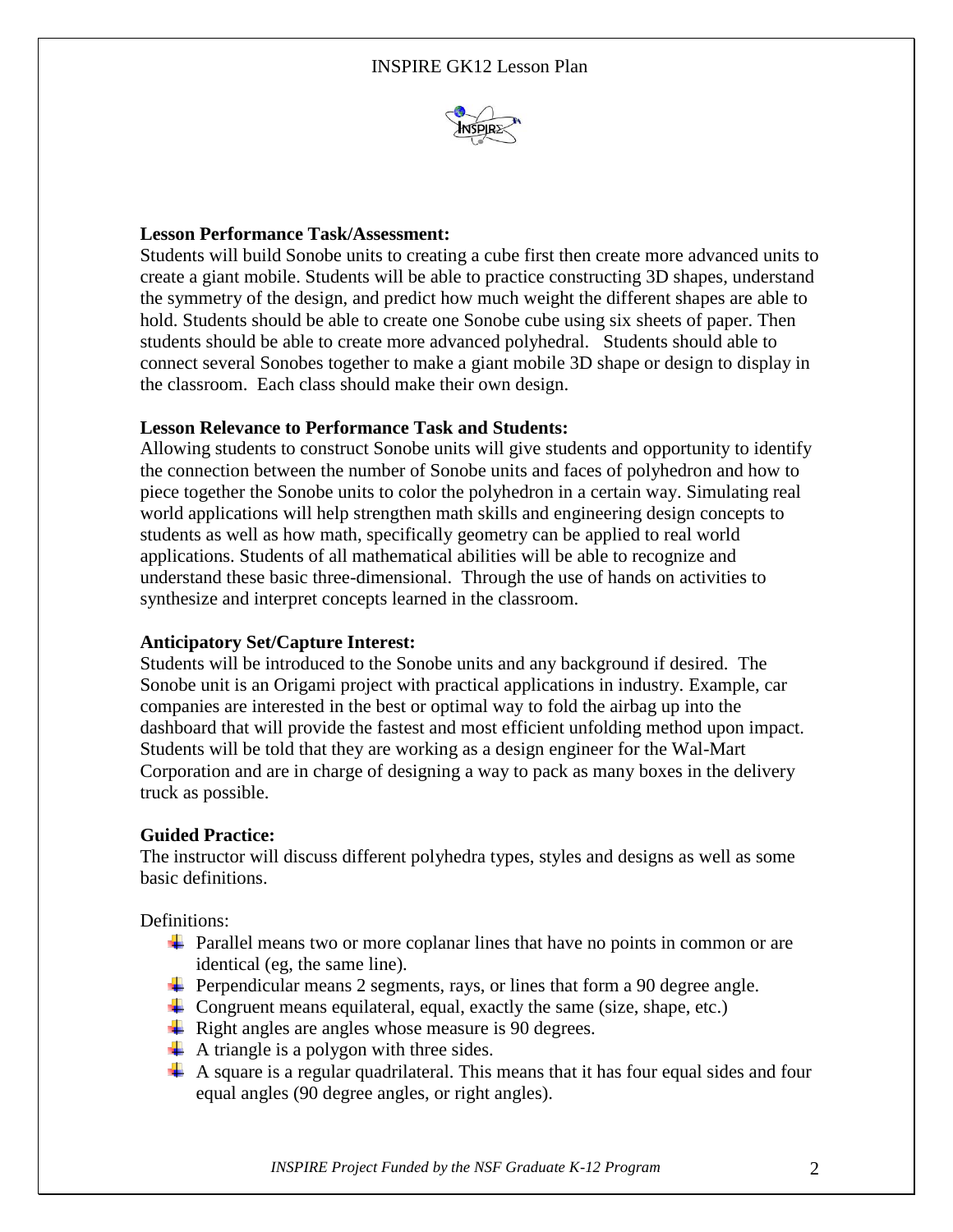

## **Lesson Performance Task/Assessment:**

Students will build Sonobe units to creating a cube first then create more advanced units to create a giant mobile. Students will be able to practice constructing 3D shapes, understand the symmetry of the design, and predict how much weight the different shapes are able to hold. Students should be able to create one Sonobe cube using six sheets of paper. Then students should be able to create more advanced polyhedral. Students should able to connect several Sonobes together to make a giant mobile 3D shape or design to display in the classroom. Each class should make their own design.

## **Lesson Relevance to Performance Task and Students:**

Allowing students to construct Sonobe units will give students and opportunity to identify the connection between the number of Sonobe units and faces of polyhedron and how to piece together the Sonobe units to color the polyhedron in a certain way. Simulating real world applications will help strengthen math skills and engineering design concepts to students as well as how math, specifically geometry can be applied to real world applications. Students of all mathematical abilities will be able to recognize and understand these basic three-dimensional. Through the use of hands on activities to synthesize and interpret concepts learned in the classroom.

## **Anticipatory Set/Capture Interest:**

Students will be introduced to the Sonobe units and any background if desired. The Sonobe unit is an Origami project with practical applications in industry. Example, car companies are interested in the best or optimal way to fold the airbag up into the dashboard that will provide the fastest and most efficient unfolding method upon impact. Students will be told that they are working as a design engineer for the Wal-Mart Corporation and are in charge of designing a way to pack as many boxes in the delivery truck as possible.

#### **Guided Practice:**

The instructor will discuss different polyhedra types, styles and designs as well as some basic definitions.

Definitions:

- $\ddot{\bullet}$  Parallel means two or more coplanar lines that have no points in common or are identical (eg, the same line).
- $\overline{\phantom{a}}$  Perpendicular means 2 segments, rays, or lines that form a 90 degree angle.
- $\overline{\phantom{a}}$  Congruent means equilateral, equal, exactly the same (size, shape, etc.)
- $\overline{\phantom{a}}$  Right angles are angles whose measure is 90 degrees.
- $\overline{\phantom{a}}$  A triangle is a polygon with three sides.
- $\perp$  A square is a regular quadrilateral. This means that it has four equal sides and four equal angles (90 degree angles, or right angles).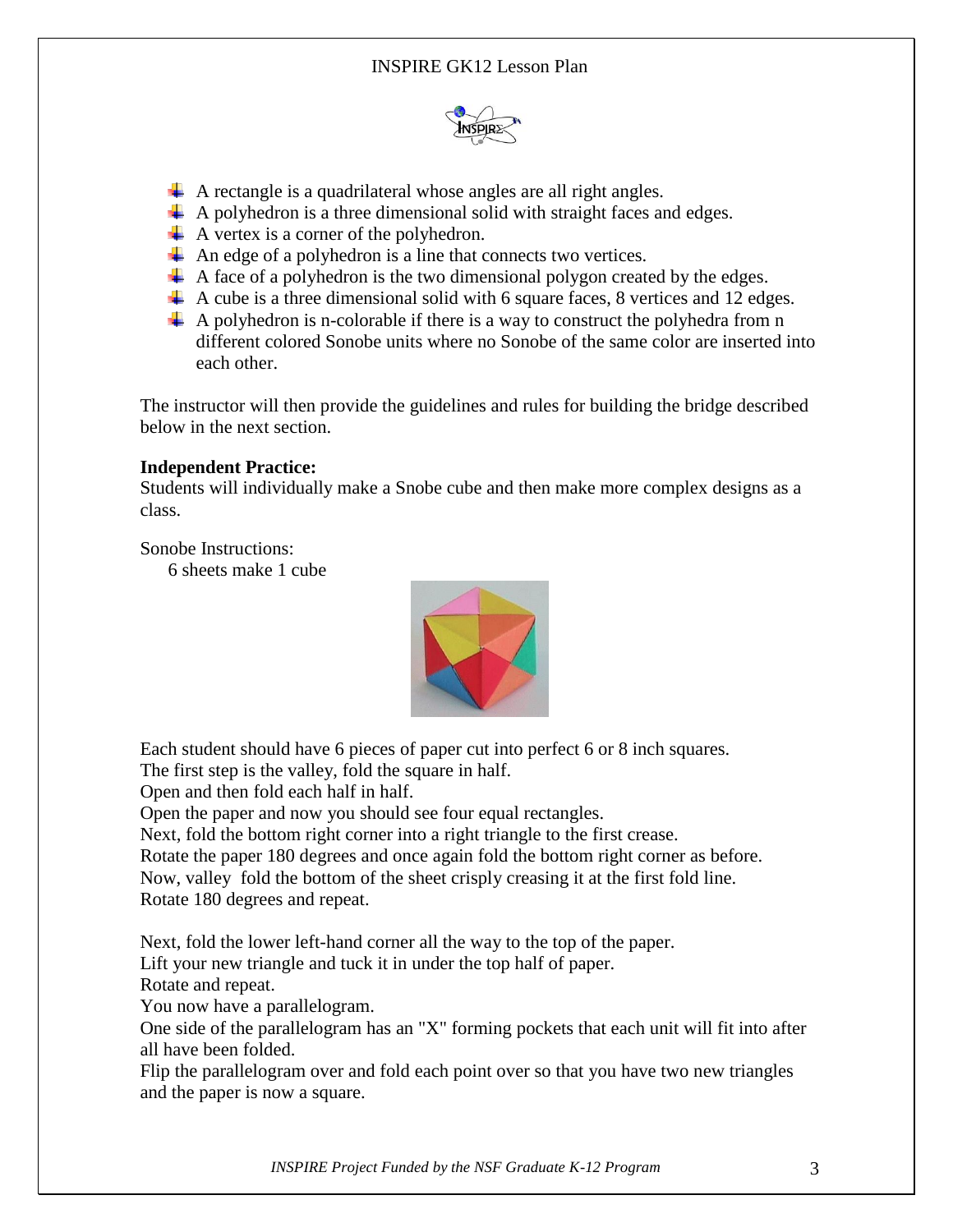

- $\perp$  A rectangle is a quadrilateral whose angles are all right angles.
- $\perp$  A polyhedron is a three dimensional solid with straight faces and edges.
- $\overline{\text{4}}$  A vertex is a corner of the polyhedron.
- $\overline{\mathbf{A}}$  An edge of a polyhedron is a line that connects two vertices.
- $\overline{\phantom{a}}$  A face of a polyhedron is the two dimensional polygon created by the edges.
- $\overline{\phantom{a}}$  A cube is a three dimensional solid with 6 square faces, 8 vertices and 12 edges.
- $\overline{+}$  A polyhedron is n-colorable if there is a way to construct the polyhedra from n different colored Sonobe units where no Sonobe of the same color are inserted into each other.

The instructor will then provide the guidelines and rules for building the bridge described below in the next section.

## **Independent Practice:**

Students will individually make a Snobe cube and then make more complex designs as a class.

Sonobe Instructions:

6 sheets make 1 cube



Each student should have 6 pieces of paper cut into perfect 6 or 8 inch squares.

The first step is the valley, fold the square in half.

Open and then fold each half in half.

Open the paper and now you should see four equal rectangles.

Next, fold the bottom right corner into a right triangle to the first crease.

Rotate the paper 180 degrees and once again fold the bottom right corner as before.

Now, valley fold the bottom of the sheet crisply creasing it at the first fold line. Rotate 180 degrees and repeat.

Next, fold the lower left-hand corner all the way to the top of the paper.

Lift your new triangle and tuck it in under the top half of paper.

Rotate and repeat.

You now have a parallelogram.

One side of the parallelogram has an "X" forming pockets that each unit will fit into after all have been folded.

Flip the parallelogram over and fold each point over so that you have two new triangles and the paper is now a square.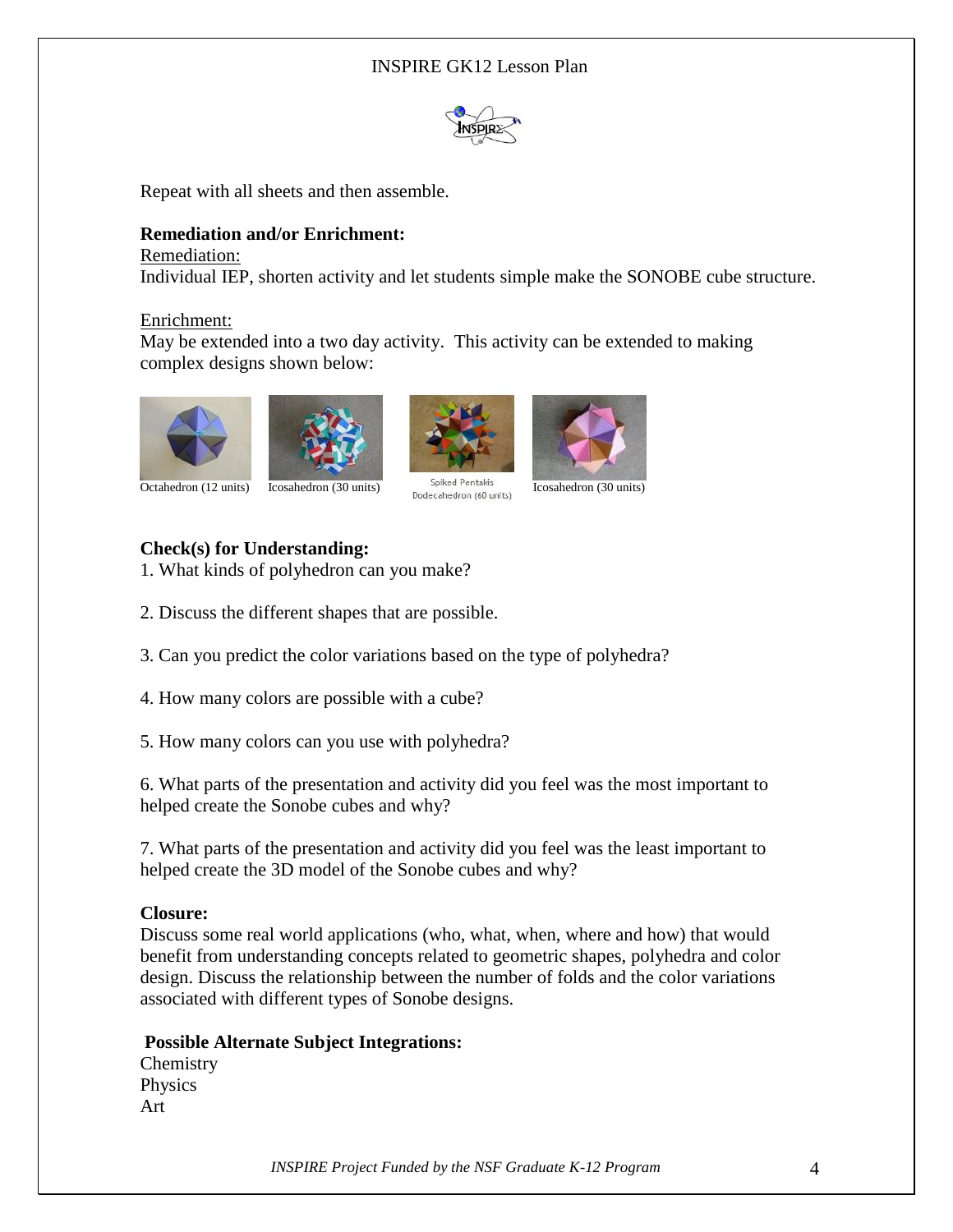# INSPIRE GK12 Lesson Plan



Repeat with all sheets and then assemble.

#### **Remediation and/or Enrichment:**

#### Remediation:

Individual IEP, shorten activity and let students simple make the SONOBE cube structure.

#### Enrichment:

May be extended into a two day activity. This activity can be extended to making complex designs shown below:







Octahedron (12 units) Icosahedron (30 units) Spiked Pentakis Icosahedron (30 units)

# **Check(s) for Understanding:**

1. What kinds of polyhedron can you make?

2. Discuss the different shapes that are possible.

3. Can you predict the color variations based on the type of polyhedra?

4. How many colors are possible with a cube?

5. How many colors can you use with polyhedra?

6. What parts of the presentation and activity did you feel was the most important to helped create the Sonobe cubes and why?

7. What parts of the presentation and activity did you feel was the least important to helped create the 3D model of the Sonobe cubes and why?

## **Closure:**

Discuss some real world applications (who, what, when, where and how) that would benefit from understanding concepts related to geometric shapes, polyhedra and color design. Discuss the relationship between the number of folds and the color variations associated with different types of Sonobe designs.

#### **Possible Alternate Subject Integrations:**

**Chemistry** Physics Art